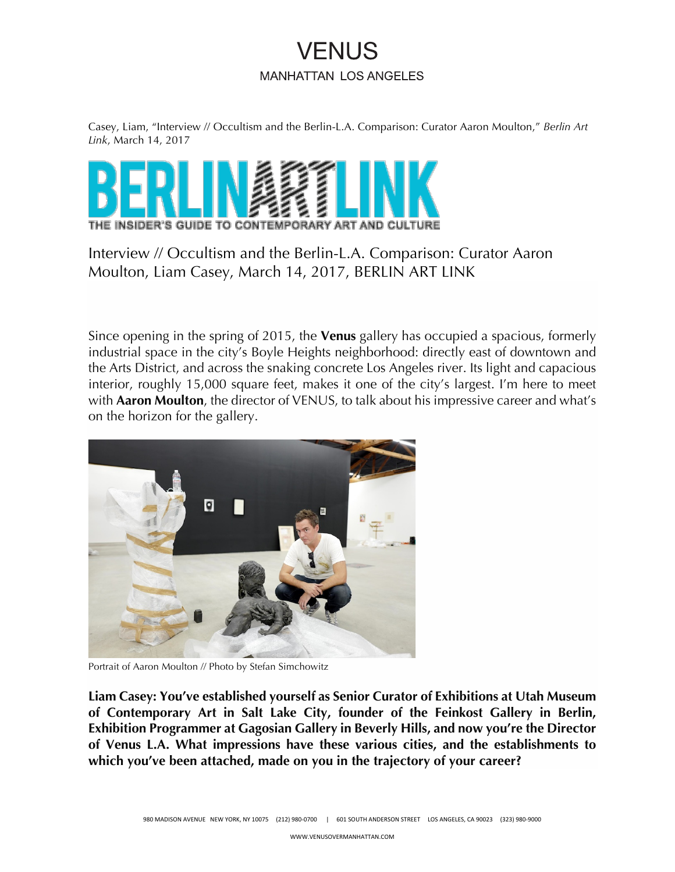# **VENUS MANHATTAN LOS ANGELES**

Casey, Liam, "Interview // Occultism and the Berlin-L.A. Comparison: Curator Aaron Moulton," *Berlin Art Link*, March 14, 2017



Interview // Occultism and the Berlin-L.A. Comparison: Curator Aaron Moulton, Liam Casey, March 14, 2017, BERLIN ART LINK

Since opening in the spring of 2015, the **Venus** gallery has occupied a spacious, formerly industrial space in the city's Boyle Heights neighborhood: directly east of downtown and the Arts District, and across the snaking concrete Los Angeles river. Its light and capacious interior, roughly 15,000 square feet, makes it one of the city's largest. I'm here to meet with **Aaron Moulton**, the director of VENUS, to talk about his impressive career and what's on the horizon for the gallery.



Portrait of Aaron Moulton // Photo by Stefan Simchowitz

**Liam Casey: You've established yourself as Senior Curator of Exhibitions at Utah Museum of Contemporary Art in Salt Lake City, founder of the Feinkost Gallery in Berlin, Exhibition Programmer at Gagosian Gallery in Beverly Hills, and now you're the Director of Venus L.A. What impressions have these various cities, and the establishments to which you've been attached, made on you in the trajectory of your career?**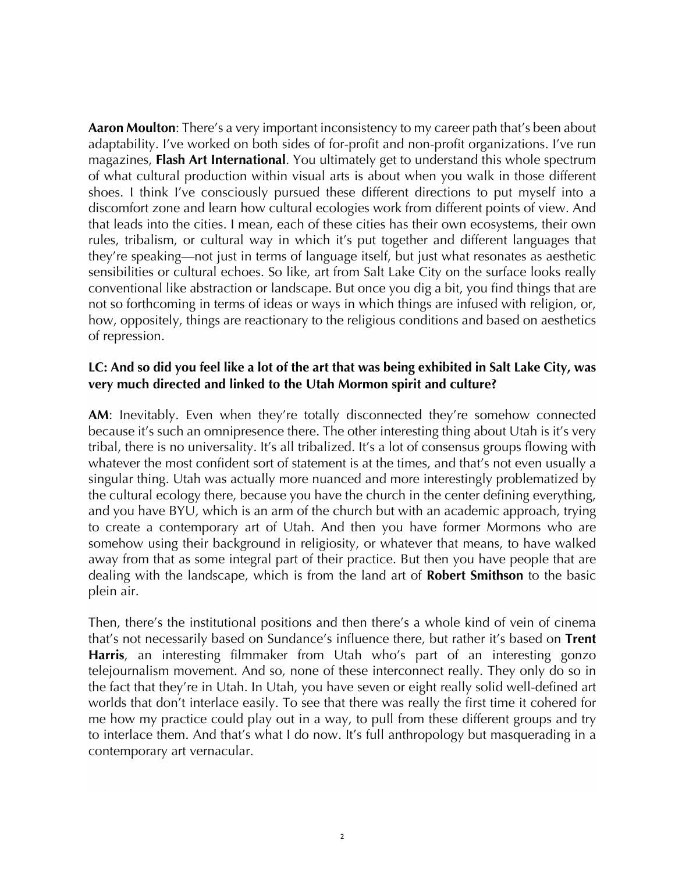**Aaron Moulton**: There's a very important inconsistency to my career path that's been about adaptability. I've worked on both sides of for-profit and non-profit organizations. I've run magazines, **Flash Art International**. You ultimately get to understand this whole spectrum of what cultural production within visual arts is about when you walk in those different shoes. I think I've consciously pursued these different directions to put myself into a discomfort zone and learn how cultural ecologies work from different points of view. And that leads into the cities. I mean, each of these cities has their own ecosystems, their own rules, tribalism, or cultural way in which it's put together and different languages that they're speaking—not just in terms of language itself, but just what resonates as aesthetic sensibilities or cultural echoes. So like, art from Salt Lake City on the surface looks really conventional like abstraction or landscape. But once you dig a bit, you find things that are not so forthcoming in terms of ideas or ways in which things are infused with religion, or, how, oppositely, things are reactionary to the religious conditions and based on aesthetics of repression.

#### **LC: And so did you feel like a lot of the art that was being exhibited in Salt Lake City, was very much directed and linked to the Utah Mormon spirit and culture?**

**AM**: Inevitably. Even when they're totally disconnected they're somehow connected because it's such an omnipresence there. The other interesting thing about Utah is it's very tribal, there is no universality. It's all tribalized. It's a lot of consensus groups flowing with whatever the most confident sort of statement is at the times, and that's not even usually a singular thing. Utah was actually more nuanced and more interestingly problematized by the cultural ecology there, because you have the church in the center defining everything, and you have BYU, which is an arm of the church but with an academic approach, trying to create a contemporary art of Utah. And then you have former Mormons who are somehow using their background in religiosity, or whatever that means, to have walked away from that as some integral part of their practice. But then you have people that are dealing with the landscape, which is from the land art of **Robert Smithson** to the basic plein air.

Then, there's the institutional positions and then there's a whole kind of vein of cinema that's not necessarily based on Sundance's influence there, but rather it's based on **Trent Harris**, an interesting filmmaker from Utah who's part of an interesting gonzo telejournalism movement. And so, none of these interconnect really. They only do so in the fact that they're in Utah. In Utah, you have seven or eight really solid well-defined art worlds that don't interlace easily. To see that there was really the first time it cohered for me how my practice could play out in a way, to pull from these different groups and try to interlace them. And that's what I do now. It's full anthropology but masquerading in a contemporary art vernacular.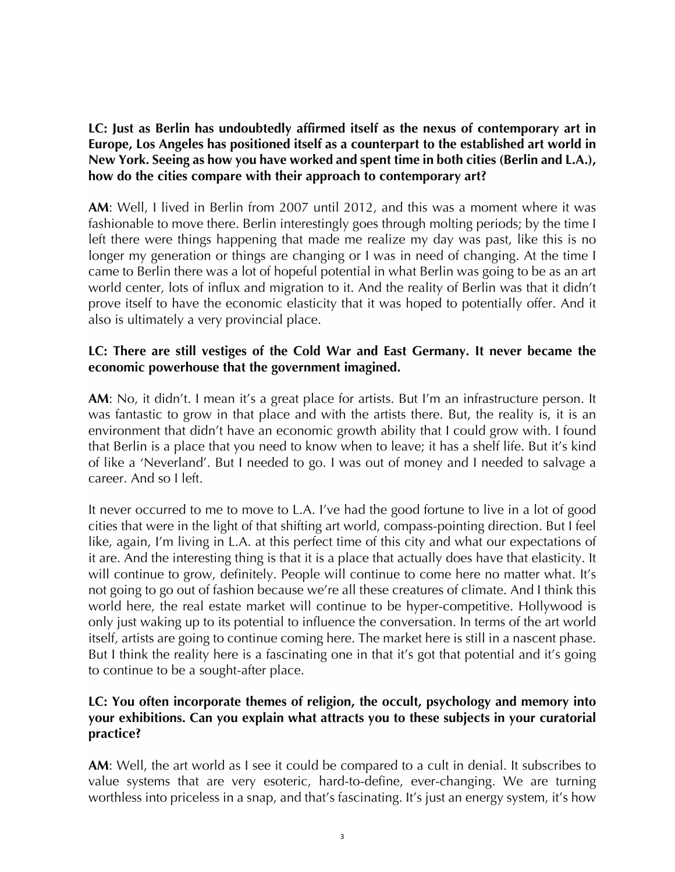**LC: Just as Berlin has undoubtedly affirmed itself as the nexus of contemporary art in Europe, Los Angeles has positioned itself as a counterpart to the established art world in New York. Seeing as how you have worked and spent time in both cities (Berlin and L.A.), how do the cities compare with their approach to contemporary art?**

**AM**: Well, I lived in Berlin from 2007 until 2012, and this was a moment where it was fashionable to move there. Berlin interestingly goes through molting periods; by the time I left there were things happening that made me realize my day was past, like this is no longer my generation or things are changing or I was in need of changing. At the time I came to Berlin there was a lot of hopeful potential in what Berlin was going to be as an art world center, lots of influx and migration to it. And the reality of Berlin was that it didn't prove itself to have the economic elasticity that it was hoped to potentially offer. And it also is ultimately a very provincial place.

# **LC: There are still vestiges of the Cold War and East Germany. It never became the economic powerhouse that the government imagined.**

AM: No, it didn't. I mean it's a great place for artists. But I'm an infrastructure person. It was fantastic to grow in that place and with the artists there. But, the reality is, it is an environment that didn't have an economic growth ability that I could grow with. I found that Berlin is a place that you need to know when to leave; it has a shelf life. But it's kind of like a 'Neverland'. But I needed to go. I was out of money and I needed to salvage a career. And so I left.

It never occurred to me to move to L.A. I've had the good fortune to live in a lot of good cities that were in the light of that shifting art world, compass-pointing direction. But I feel like, again, I'm living in L.A. at this perfect time of this city and what our expectations of it are. And the interesting thing is that it is a place that actually does have that elasticity. It will continue to grow, definitely. People will continue to come here no matter what. It's not going to go out of fashion because we're all these creatures of climate. And I think this world here, the real estate market will continue to be hyper-competitive. Hollywood is only just waking up to its potential to influence the conversation. In terms of the art world itself, artists are going to continue coming here. The market here is still in a nascent phase. But I think the reality here is a fascinating one in that it's got that potential and it's going to continue to be a sought-after place.

# **LC: You often incorporate themes of religion, the occult, psychology and memory into your exhibitions. Can you explain what attracts you to these subjects in your curatorial practice?**

**AM**: Well, the art world as I see it could be compared to a cult in denial. It subscribes to value systems that are very esoteric, hard-to-define, ever-changing. We are turning worthless into priceless in a snap, and that's fascinating. It's just an energy system, it's how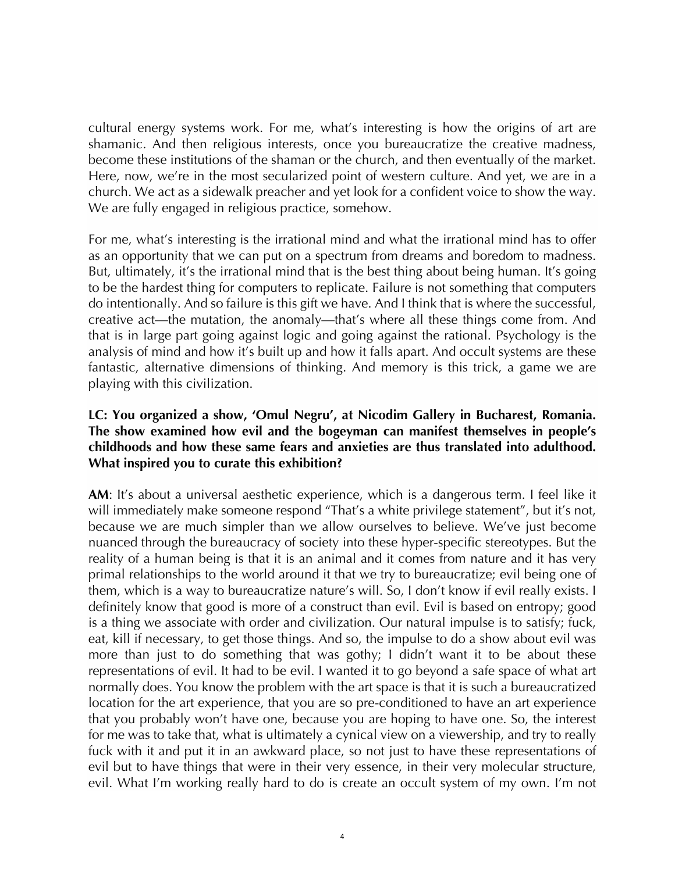cultural energy systems work. For me, what's interesting is how the origins of art are shamanic. And then religious interests, once you bureaucratize the creative madness, become these institutions of the shaman or the church, and then eventually of the market. Here, now, we're in the most secularized point of western culture. And yet, we are in a church. We act as a sidewalk preacher and yet look for a confident voice to show the way. We are fully engaged in religious practice, somehow.

For me, what's interesting is the irrational mind and what the irrational mind has to offer as an opportunity that we can put on a spectrum from dreams and boredom to madness. But, ultimately, it's the irrational mind that is the best thing about being human. It's going to be the hardest thing for computers to replicate. Failure is not something that computers do intentionally. And so failure is this gift we have. And I think that is where the successful, creative act—the mutation, the anomaly—that's where all these things come from. And that is in large part going against logic and going against the rational. Psychology is the analysis of mind and how it's built up and how it falls apart. And occult systems are these fantastic, alternative dimensions of thinking. And memory is this trick, a game we are playing with this civilization.

## **LC: You organized a show, 'Omul Negru', at Nicodim Gallery in Bucharest, Romania. The show examined how evil and the bogeyman can manifest themselves in people's childhoods and how these same fears and anxieties are thus translated into adulthood. What inspired you to curate this exhibition?**

**AM**: It's about a universal aesthetic experience, which is a dangerous term. I feel like it will immediately make someone respond "That's a white privilege statement", but it's not, because we are much simpler than we allow ourselves to believe. We've just become nuanced through the bureaucracy of society into these hyper-specific stereotypes. But the reality of a human being is that it is an animal and it comes from nature and it has very primal relationships to the world around it that we try to bureaucratize; evil being one of them, which is a way to bureaucratize nature's will. So, I don't know if evil really exists. I definitely know that good is more of a construct than evil. Evil is based on entropy; good is a thing we associate with order and civilization. Our natural impulse is to satisfy; fuck, eat, kill if necessary, to get those things. And so, the impulse to do a show about evil was more than just to do something that was gothy; I didn't want it to be about these representations of evil. It had to be evil. I wanted it to go beyond a safe space of what art normally does. You know the problem with the art space is that it is such a bureaucratized location for the art experience, that you are so pre-conditioned to have an art experience that you probably won't have one, because you are hoping to have one. So, the interest for me was to take that, what is ultimately a cynical view on a viewership, and try to really fuck with it and put it in an awkward place, so not just to have these representations of evil but to have things that were in their very essence, in their very molecular structure, evil. What I'm working really hard to do is create an occult system of my own. I'm not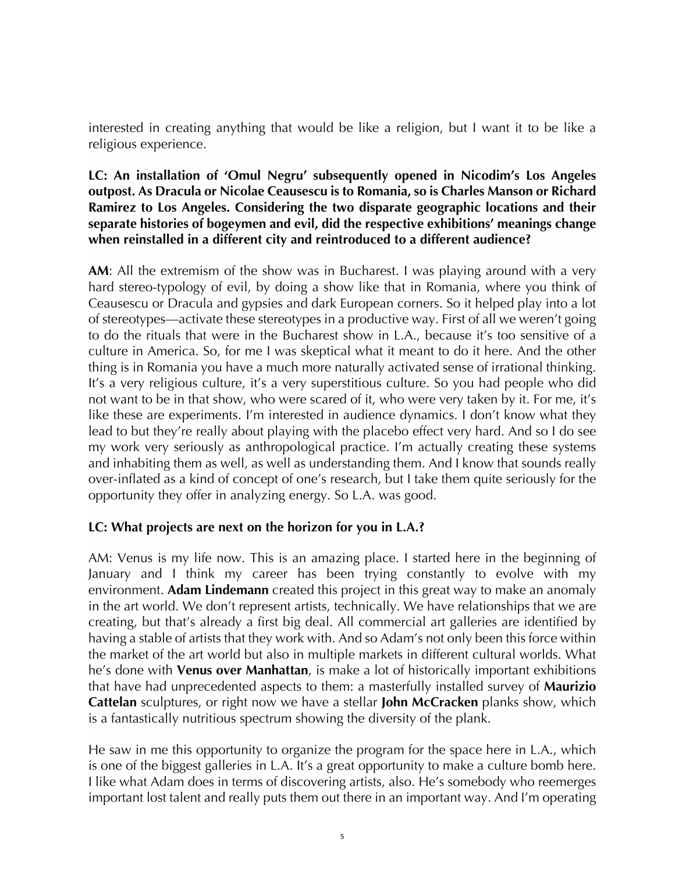interested in creating anything that would be like a religion, but I want it to be like a religious experience.

## **LC: An installation of 'Omul Negru' subsequently opened in Nicodim's Los Angeles outpost. As Dracula or Nicolae Ceausescu is to Romania, so is Charles Manson or Richard Ramirez to Los Angeles. Considering the two disparate geographic locations and their separate histories of bogeymen and evil, did the respective exhibitions' meanings change when reinstalled in a different city and reintroduced to a different audience?**

**AM**: All the extremism of the show was in Bucharest. I was playing around with a very hard stereo-typology of evil, by doing a show like that in Romania, where you think of Ceausescu or Dracula and gypsies and dark European corners. So it helped play into a lot of stereotypes—activate these stereotypes in a productive way. First of all we weren't going to do the rituals that were in the Bucharest show in L.A., because it's too sensitive of a culture in America. So, for me I was skeptical what it meant to do it here. And the other thing is in Romania you have a much more naturally activated sense of irrational thinking. It's a very religious culture, it's a very superstitious culture. So you had people who did not want to be in that show, who were scared of it, who were very taken by it. For me, it's like these are experiments. I'm interested in audience dynamics. I don't know what they lead to but they're really about playing with the placebo effect very hard. And so I do see my work very seriously as anthropological practice. I'm actually creating these systems and inhabiting them as well, as well as understanding them. And I know that sounds really over-inflated as a kind of concept of one's research, but I take them quite seriously for the opportunity they offer in analyzing energy. So L.A. was good.

# **LC: What projects are next on the horizon for you in L.A.?**

AM: Venus is my life now. This is an amazing place. I started here in the beginning of January and I think my career has been trying constantly to evolve with my environment. **Adam Lindemann** created this project in this great way to make an anomaly in the art world. We don't represent artists, technically. We have relationships that we are creating, but that's already a first big deal. All commercial art galleries are identified by having a stable of artists that they work with. And so Adam's not only been this force within the market of the art world but also in multiple markets in different cultural worlds. What he's done with **Venus over Manhattan**, is make a lot of historically important exhibitions that have had unprecedented aspects to them: a masterfully installed survey of **Maurizio Cattelan** sculptures, or right now we have a stellar **John McCracken** planks show, which is a fantastically nutritious spectrum showing the diversity of the plank.

He saw in me this opportunity to organize the program for the space here in L.A., which is one of the biggest galleries in L.A. It's a great opportunity to make a culture bomb here. I like what Adam does in terms of discovering artists, also. He's somebody who reemerges important lost talent and really puts them out there in an important way. And I'm operating